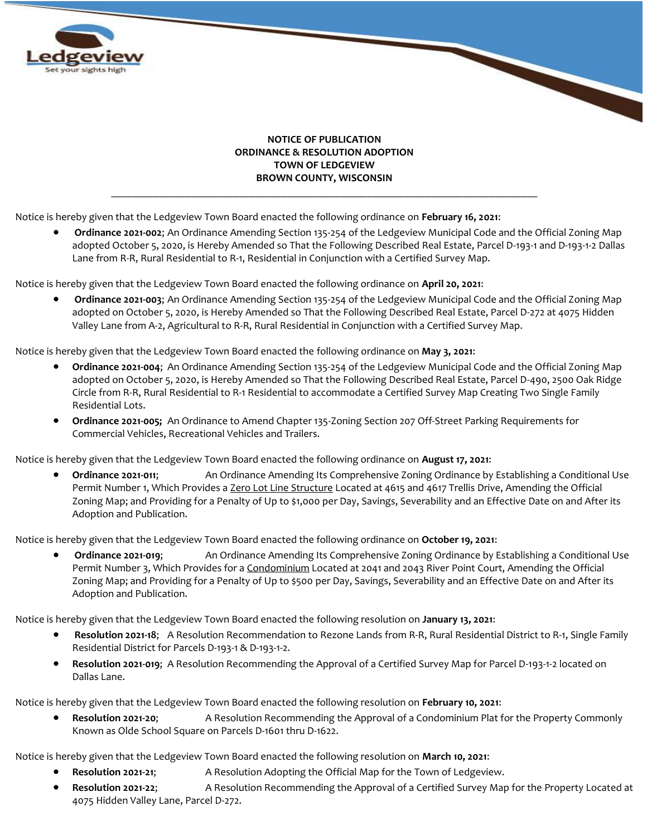

**NOTICE OF PUBLICATION ORDINANCE & RESOLUTION ADOPTION TOWN OF LEDGEVIEW BROWN COUNTY, WISCONSIN**

\_\_\_\_\_\_\_\_\_\_\_\_\_\_\_\_\_\_\_\_\_\_\_\_\_\_\_\_\_\_\_\_\_\_\_\_\_\_\_\_\_\_\_\_\_\_\_\_\_\_\_\_\_\_\_\_\_\_\_\_\_\_\_\_\_\_\_\_\_\_\_\_\_\_\_\_\_\_\_\_

Notice is hereby given that the Ledgeview Town Board enacted the following ordinance on **February 16, 2021**:

 **Ordinance 2021-002**; An Ordinance Amending Section 135-254 of the Ledgeview Municipal Code and the Official Zoning Map adopted October 5, 2020, is Hereby Amended so That the Following Described Real Estate, Parcel D-193-1 and D-193-1-2 Dallas Lane from R-R, Rural Residential to R-1, Residential in Conjunction with a Certified Survey Map.

Notice is hereby given that the Ledgeview Town Board enacted the following ordinance on **April 20, 2021**:

 **Ordinance 2021-003**; An Ordinance Amending Section 135-254 of the Ledgeview Municipal Code and the Official Zoning Map adopted on October 5, 2020, is Hereby Amended so That the Following Described Real Estate, Parcel D-272 at 4075 Hidden Valley Lane from A-2, Agricultural to R-R, Rural Residential in Conjunction with a Certified Survey Map.

Notice is hereby given that the Ledgeview Town Board enacted the following ordinance on **May 3, 2021**:

- **Ordinance 2021-004**; An Ordinance Amending Section 135-254 of the Ledgeview Municipal Code and the Official Zoning Map adopted on October 5, 2020, is Hereby Amended so That the Following Described Real Estate, Parcel D-490, 2500 Oak Ridge Circle from R-R, Rural Residential to R-1 Residential to accommodate a Certified Survey Map Creating Two Single Family Residential Lots.
- **Ordinance 2021-005;** An Ordinance to Amend Chapter 135-Zoning Section 207 Off-Street Parking Requirements for Commercial Vehicles, Recreational Vehicles and Trailers.

Notice is hereby given that the Ledgeview Town Board enacted the following ordinance on **August 17, 2021**:

 **Ordinance 2021-011**; An Ordinance Amending Its Comprehensive Zoning Ordinance by Establishing a Conditional Use Permit Number 1, Which Provides a Zero Lot Line Structure Located at 4615 and 4617 Trellis Drive, Amending the Official Zoning Map; and Providing for a Penalty of Up to \$1,000 per Day, Savings, Severability and an Effective Date on and After its Adoption and Publication.

Notice is hereby given that the Ledgeview Town Board enacted the following ordinance on **October 19, 2021**:

 **Ordinance 2021-019**; An Ordinance Amending Its Comprehensive Zoning Ordinance by Establishing a Conditional Use Permit Number 3, Which Provides for a Condominium Located at 2041 and 2043 River Point Court, Amending the Official Zoning Map; and Providing for a Penalty of Up to \$500 per Day, Savings, Severability and an Effective Date on and After its Adoption and Publication.

Notice is hereby given that the Ledgeview Town Board enacted the following resolution on **January 13, 2021**:

- **Resolution 2021-18**; A Resolution Recommendation to Rezone Lands from R-R, Rural Residential District to R-1, Single Family Residential District for Parcels D-193-1 & D-193-1-2.
- **Resolution 2021-019**; A Resolution Recommending the Approval of a Certified Survey Map for Parcel D-193-1-2 located on Dallas Lane.

Notice is hereby given that the Ledgeview Town Board enacted the following resolution on **February 10, 2021**:

 **Resolution 2021-20**; A Resolution Recommending the Approval of a Condominium Plat for the Property Commonly Known as Olde School Square on Parcels D-1601 thru D-1622.

Notice is hereby given that the Ledgeview Town Board enacted the following resolution on **March 10, 2021**:

- **Resolution 2021-21**; A Resolution Adopting the Official Map for the Town of Ledgeview.
- **Resolution 2021-22**; A Resolution Recommending the Approval of a Certified Survey Map for the Property Located at 4075 Hidden Valley Lane, Parcel D-272.